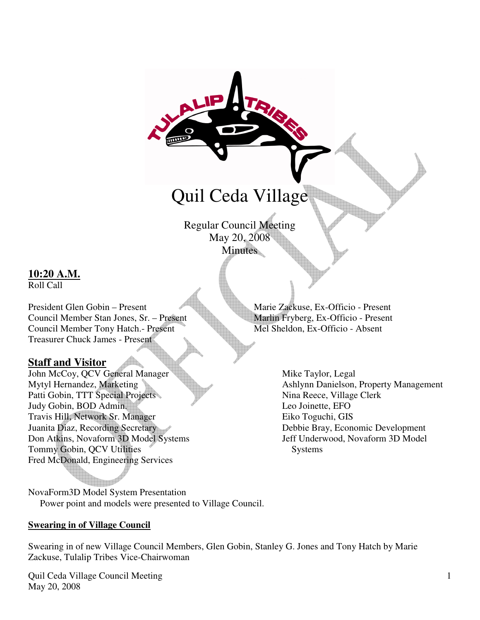# Quil Ceda Village

Regular Council Meeting May 20, 2008 **Minutes** 

#### **10:20 A.M.** Roll Call

President Glen Gobin – Present Marie Zackuse, Ex-Officio - Present Council Member Stan Jones, Sr. – Present Marlin Fryberg, Ex-Officio - Present Council Member Tony Hatch.- Present Mel Sheldon, Ex-Officio - Absent Treasurer Chuck James - Present

#### **Staff and Visitor**

John McCoy, QCV General Manager Mike Taylor, Legal<br>Mytyl Hernandez, Marketing Ashlynn Danielson, Patti Gobin, TTT Special Projects Nina Reece, Village Clerk Judy Gobin, BOD Admin. Leo Joinette, EFO Travis Hill, Network Sr. Manager Eiko Toguchi, GIS Juanita Diaz, Recording Secretary Debbie Bray, Economic Development Don Atkins, Novaform 3D Model Systems Jeff Underwood, Novaform 3D Model Tommy Gobin, QCV Utilities Systems Fred McDonald, Engineering Services

NovaForm3D Model System Presentation Power point and models were presented to Village Council.

#### **Swearing in of Village Council**

Swearing in of new Village Council Members, Glen Gobin, Stanley G. Jones and Tony Hatch by Marie Zackuse, Tulalip Tribes Vice-Chairwoman

Quil Ceda Village Council Meeting May 20, 2008

Ashlynn Danielson, Property Management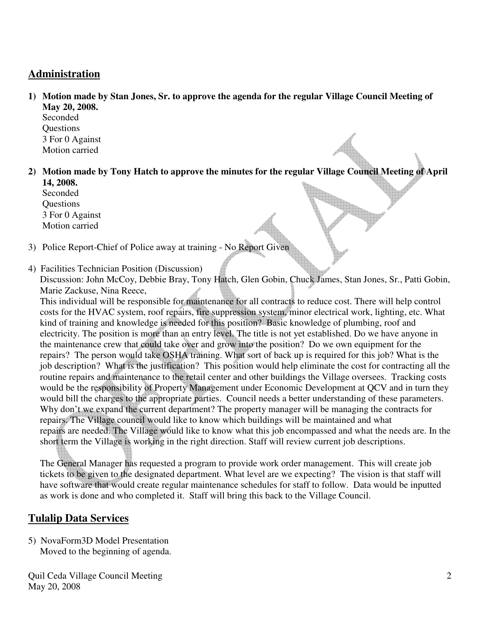## **Administration**

**1) Motion made by Stan Jones, Sr. to approve the agenda for the regular Village Council Meeting of May 20, 2008.** 

Seconded **Ouestions** 3 For 0 Against Motion carried

**2) Motion made by Tony Hatch to approve the minutes for the regular Village Council Meeting of April 14, 2008.** 

Seconded **Ouestions**  3 For 0 Against Motion carried

- 3) Police Report-Chief of Police away at training No Report Given
- 4) Facilities Technician Position (Discussion)

 Discussion: John McCoy, Debbie Bray, Tony Hatch, Glen Gobin, Chuck James, Stan Jones, Sr., Patti Gobin, Marie Zackuse, Nina Reece,

 This individual will be responsible for maintenance for all contracts to reduce cost. There will help control costs for the HVAC system, roof repairs, fire suppression system, minor electrical work, lighting, etc. What kind of training and knowledge is needed for this position? Basic knowledge of plumbing, roof and electricity. The position is more than an entry level. The title is not yet established. Do we have anyone in the maintenance crew that could take over and grow into the position? Do we own equipment for the repairs? The person would take OSHA training. What sort of back up is required for this job? What is the job description? What is the justification? This position would help eliminate the cost for contracting all the routine repairs and maintenance to the retail center and other buildings the Village oversees. Tracking costs would be the responsibility of Property Management under Economic Development at QCV and in turn they would bill the charges to the appropriate parties. Council needs a better understanding of these parameters. Why don't we expand the current department? The property manager will be managing the contracts for repairs. The Village council would like to know which buildings will be maintained and what repairs are needed. The Village would like to know what this job encompassed and what the needs are. In the short term the Village is working in the right direction. Staff will review current job descriptions.

 The General Manager has requested a program to provide work order management. This will create job tickets to be given to the designated department. What level are we expecting? The vision is that staff will have software that would create regular maintenance schedules for staff to follow. Data would be inputted as work is done and who completed it. Staff will bring this back to the Village Council.

# **Tulalip Data Services**

5) NovaForm3D Model Presentation Moved to the beginning of agenda.

Quil Ceda Village Council Meeting May 20, 2008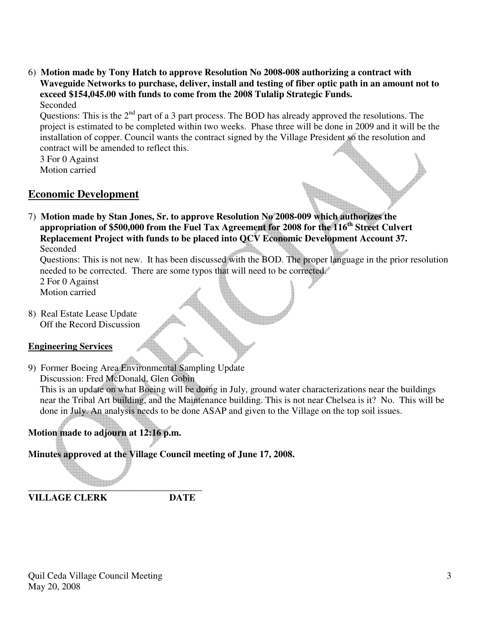6) **Motion made by Tony Hatch to approve Resolution No 2008-008 authorizing a contract with Waveguide Networks to purchase, deliver, install and testing of fiber optic path in an amount not to exceed \$154,045.00 with funds to come from the 2008 Tulalip Strategic Funds.**  Seconded

Questions: This is the  $2<sup>nd</sup>$  part of a 3 part process. The BOD has already approved the resolutions. The project is estimated to be completed within two weeks. Phase three will be done in 2009 and it will be the installation of copper. Council wants the contract signed by the Village President so the resolution and contract will be amended to reflect this.

 3 For 0 Against Motion carried

## **Economic Development**

7) **Motion made by Stan Jones, Sr. to approve Resolution No 2008-009 which authorizes the appropriation of \$500,000 from the Fuel Tax Agreement for 2008 for the 116th Street Culvert Replacement Project with funds to be placed into QCV Economic Development Account 37.**  Seconded

 Questions: This is not new. It has been discussed with the BOD. The proper language in the prior resolution needed to be corrected. There are some typos that will need to be corrected. 2 For 0 Against

Motion carried

8) Real Estate Lease Update Off the Record Discussion

#### **Engineering Services**

9) Former Boeing Area Environmental Sampling Update

Discussion: Fred McDonald, Glen Gobin

 This is an update on what Boeing will be doing in July, ground water characterizations near the buildings near the Tribal Art building, and the Maintenance building. This is not near Chelsea is it? No. This will be done in July. An analysis needs to be done ASAP and given to the Village on the top soil issues.

# **Motion made to adjourn at 12:16 p.m.**

**Minutes approved at the Village Council meeting of June 17, 2008.** 

**\_\_\_\_\_\_\_\_\_\_\_\_\_\_\_\_\_\_\_\_\_\_\_\_\_\_\_\_\_\_\_\_\_\_\_\_\_ VILLAGE CLERK DATE**